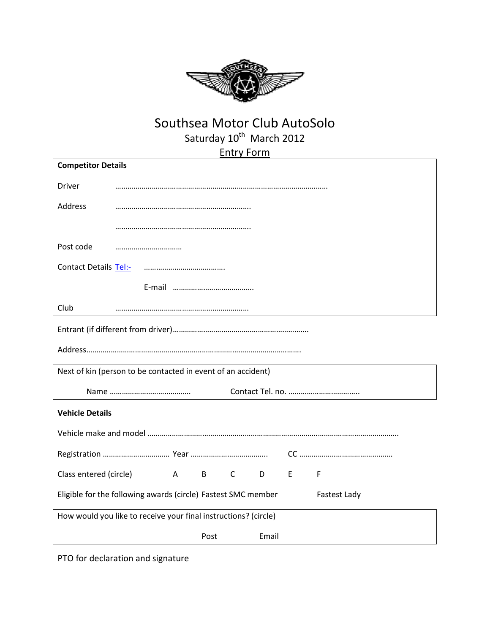

## Southsea Motor Club AutoSolo Saturday 10<sup>th</sup> March 2012

Entry Form

| <b>Competitor Details</b>                                                            |  |              |      |              |                |    |   |
|--------------------------------------------------------------------------------------|--|--------------|------|--------------|----------------|----|---|
| Driver                                                                               |  |              |      |              |                |    |   |
| Address                                                                              |  |              |      |              |                |    |   |
|                                                                                      |  |              |      |              |                |    |   |
| Post code                                                                            |  |              |      |              |                |    |   |
| Contact Details Tel:-                                                                |  |              |      |              |                |    |   |
|                                                                                      |  |              |      |              |                |    |   |
| Club                                                                                 |  |              |      |              |                |    |   |
|                                                                                      |  |              |      |              |                |    |   |
|                                                                                      |  |              |      |              |                |    |   |
| Next of kin (person to be contacted in event of an accident)                         |  |              |      |              |                |    |   |
|                                                                                      |  |              |      |              |                |    |   |
| <b>Vehicle Details</b>                                                               |  |              |      |              |                |    |   |
|                                                                                      |  |              |      |              |                |    |   |
|                                                                                      |  |              |      |              |                |    |   |
| Class entered (circle)                                                               |  | $\mathsf{A}$ | B    | $\mathsf{C}$ | D <sub>a</sub> | F. | F |
| Eligible for the following awards (circle) Fastest SMC member<br><b>Fastest Lady</b> |  |              |      |              |                |    |   |
| How would you like to receive your final instructions? (circle)                      |  |              |      |              |                |    |   |
|                                                                                      |  |              | Post |              | Email          |    |   |

PTO for declaration and signature